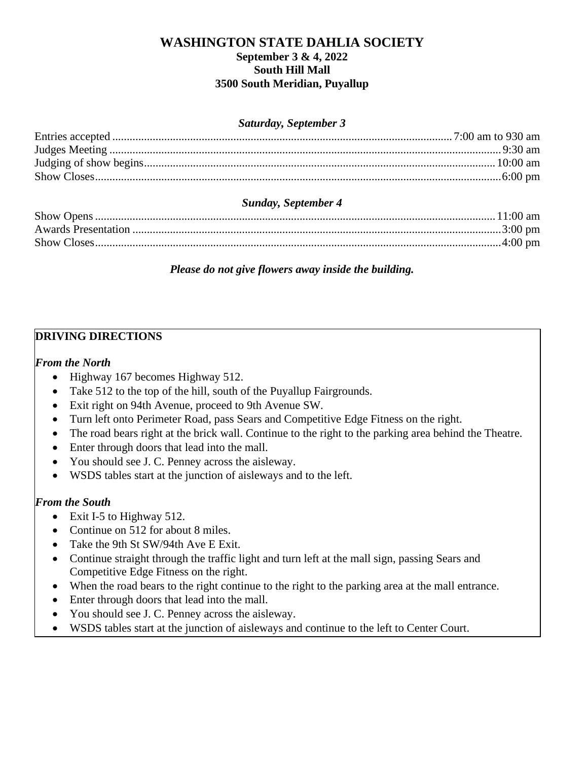## **WASHINGTON STATE DAHLIA SOCIETY September 3 & 4, 2022 South Hill Mall 3500 South Meridian, Puyallup**

#### *Saturday, September 3*

## *Sunday, September 4*

*Please do not give flowers away inside the building.*

# **DRIVING DIRECTIONS**

## *From the North*

- Highway 167 becomes Highway 512.
- Take 512 to the top of the hill, south of the Puyallup Fairgrounds.
- Exit right on 94th Avenue, proceed to 9th Avenue SW.
- Turn left onto Perimeter Road, pass Sears and Competitive Edge Fitness on the right.
- The road bears right at the brick wall. Continue to the right to the parking area behind the Theatre.
- Enter through doors that lead into the mall.
- You should see J. C. Penney across the aisleway.
- WSDS tables start at the junction of aisleways and to the left.

## *From the South*

- Exit I-5 to Highway 512.
- Continue on 512 for about 8 miles.
- Take the 9th St SW/94th Ave E Exit.
- Continue straight through the traffic light and turn left at the mall sign, passing Sears and Competitive Edge Fitness on the right.
- When the road bears to the right continue to the right to the parking area at the mall entrance.
- Enter through doors that lead into the mall.
- You should see J. C. Penney across the aisleway.
- WSDS tables start at the junction of aisleways and continue to the left to Center Court.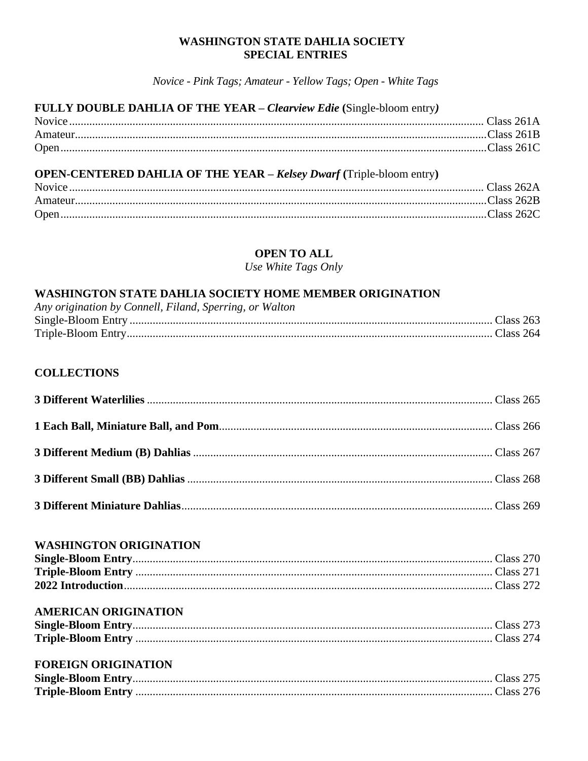#### **WASHINGTON STATE DAHLIA SOCIETY SPECIAL ENTRIES**

Novice - Pink Tags; Amateur - Yellow Tags; Open - White Tags

**Contract** 

## FULLY DOUBLE DAHLIA OF THE YEAR - Clearview Edie (Single-bloom entry)

#### **OPEN-CENTERED DAHLIA OF THE YEAR - Kelsey Dwarf (Triple-bloom entry)**

## **OPEN TO ALL**

Use White Tags Only

## **WASHINGTON STATE DAHLIA SOCIETY HOME MEMBER ORIGINATION**

| Any origination by Connell, Filand, Sperring, or Walton |  |
|---------------------------------------------------------|--|
|                                                         |  |
|                                                         |  |

## **COLLECTIONS**

### **WASHINGTON ORIGINATION**

### **AMERICAN ORIGINATION**

### **FOREIGN ORIGINATION**